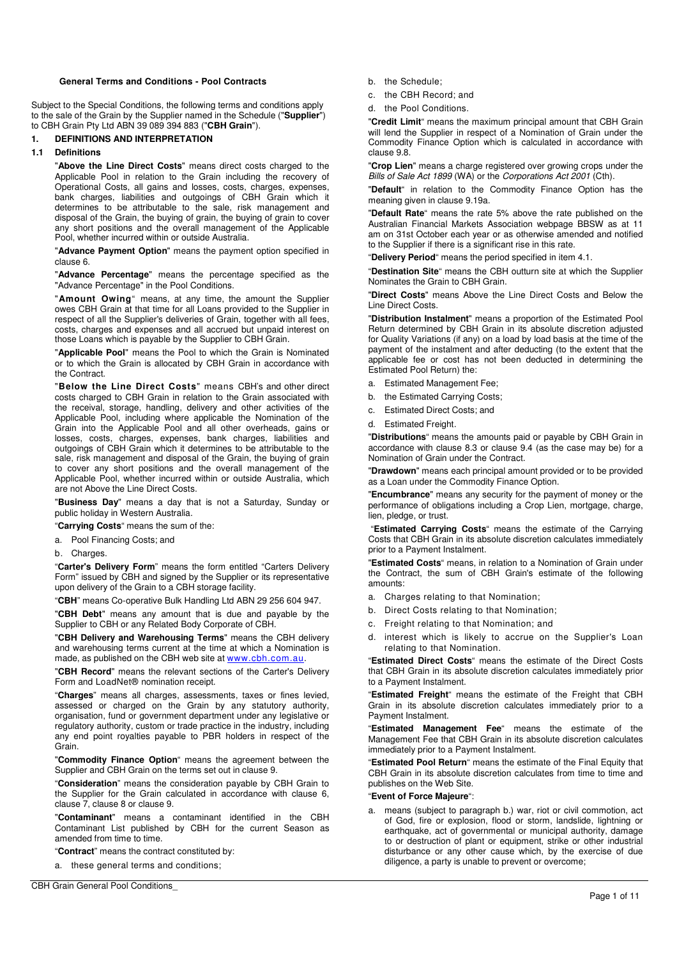# **General Terms and Conditions - Pool Contracts**

Subject to the Special Conditions, the following terms and conditions apply to the sale of the Grain by the Supplier named in the Schedule ("**Supplier**") to CBH Grain Pty Ltd ABN 39 089 394 883 ("**CBH Grain**").

## **1. DEFINITIONS AND INTERPRETATION**

### **1.1 Definitions**

"**Above the Line Direct Costs**" means direct costs charged to the Applicable Pool in relation to the Grain including the recovery of Operational Costs, all gains and losses, costs, charges, expenses, bank charges, liabilities and outgoings of CBH Grain which it determines to be attributable to the sale, risk management and disposal of the Grain, the buying of grain, the buying of grain to cover any short positions and the overall management of the Applicable Pool, whether incurred within or outside Australia.

"**Advance Payment Option**" means the payment option specified in clause 6.

"**Advance Percentage**" means the percentage specified as the "Advance Percentage" in the Pool Conditions.

"**Amount Owing**" means, at any time, the amount the Supplier owes CBH Grain at that time for all Loans provided to the Supplier in respect of all the Supplier's deliveries of Grain, together with all fees, costs, charges and expenses and all accrued but unpaid interest on those Loans which is payable by the Supplier to CBH Grain.

"**Applicable Pool**" means the Pool to which the Grain is Nominated or to which the Grain is allocated by CBH Grain in accordance with the Contract.

"**Below the Line Direct Costs**" means CBH's and other direct costs charged to CBH Grain in relation to the Grain associated with the receival, storage, handling, delivery and other activities of the Applicable Pool, including where applicable the Nomination of the Grain into the Applicable Pool and all other overheads, gains or losses, costs, charges, expenses, bank charges, liabilities and outgoings of CBH Grain which it determines to be attributable to the sale, risk management and disposal of the Grain, the buying of grain to cover any short positions and the overall management of the Applicable Pool, whether incurred within or outside Australia, which are not Above the Line Direct Costs.

"**Business Day**" means a day that is not a Saturday, Sunday or public holiday in Western Australia.

"**Carrying Costs**" means the sum of the:

a. Pool Financing Costs; and

b. Charges.

"**Carter's Delivery Form**" means the form entitled "Carters Delivery Form" issued by CBH and signed by the Supplier or its representative upon delivery of the Grain to a CBH storage facility.

"**CBH**" means Co-operative Bulk Handling Ltd ABN 29 256 604 947.

"**CBH Debt**" means any amount that is due and payable by the Supplier to CBH or any Related Body Corporate of CBH.

"**CBH Delivery and Warehousing Terms**" means the CBH delivery and warehousing terms current at the time at which a Nomination is made, as published on the CBH web site at www.cbh.com.au.

"**CBH Record**" means the relevant sections of the Carter's Delivery Form and LoadNet® nomination receipt.

"**Charges**" means all charges, assessments, taxes or fines levied, assessed or charged on the Grain by any statutory authority, organisation, fund or government department under any legislative or regulatory authority, custom or trade practice in the industry, including any end point royalties payable to PBR holders in respect of the Grain.

"**Commodity Finance Option**" means the agreement between the Supplier and CBH Grain on the terms set out in clause 9.

"**Consideration**" means the consideration payable by CBH Grain to the Supplier for the Grain calculated in accordance with clause 6, clause 7, clause 8 or clause 9.

"**Contaminant**" means a contaminant identified in the CBH Contaminant List published by CBH for the current Season as amended from time to time.

"**Contract**" means the contract constituted by:

a. these general terms and conditions;

CBH Grain General Pool Conditions\_

b. the Schedule;

- c. the CBH Record; and
- d. the Pool Conditions.

"**Credit Limit**" means the maximum principal amount that CBH Grain will lend the Supplier in respect of a Nomination of Grain under the Commodity Finance Option which is calculated in accordance with clause 9.8.

"**Crop Lien**" means a charge registered over growing crops under the Bills of Sale Act 1899 (WA) or the Corporations Act 2001 (Cth).

"**Default**" in relation to the Commodity Finance Option has the meaning given in clause 9.19a.

"**Default Rate**" means the rate 5% above the rate published on the Australian Financial Markets Association webpage BBSW as at 11 am on 31st October each year or as otherwise amended and notified to the Supplier if there is a significant rise in this rate.

"**Delivery Period**" means the period specified in item 4.1.

"**Destination Site**" means the CBH outturn site at which the Supplier Nominates the Grain to CBH Grain.

"**Direct Costs**" means Above the Line Direct Costs and Below the Line Direct Costs.

"**Distribution Instalment**" means a proportion of the Estimated Pool Return determined by CBH Grain in its absolute discretion adjusted for Quality Variations (if any) on a load by load basis at the time of the payment of the instalment and after deducting (to the extent that the applicable fee or cost has not been deducted in determining the Estimated Pool Return) the:

- a. Estimated Management Fee;
- b. the Estimated Carrying Costs;
- c. Estimated Direct Costs; and
- d. Estimated Freight.

"**Distributions**" means the amounts paid or payable by CBH Grain in accordance with clause 8.3 or clause 9.4 (as the case may be) for a Nomination of Grain under the Contract.

"**Drawdown**" means each principal amount provided or to be provided as a Loan under the Commodity Finance Option.

"**Encumbrance**" means any security for the payment of money or the performance of obligations including a Crop Lien, mortgage, charge, lien, pledge, or trust.

 "**Estimated Carrying Costs**" means the estimate of the Carrying Costs that CBH Grain in its absolute discretion calculates immediately prior to a Payment Instalment.

"**Estimated Costs**" means, in relation to a Nomination of Grain under the Contract, the sum of CBH Grain's estimate of the following amounts:

- a. Charges relating to that Nomination;
- b. Direct Costs relating to that Nomination;
- c. Freight relating to that Nomination; and
- d. interest which is likely to accrue on the Supplier's Loan relating to that Nomination.

"**Estimated Direct Costs**" means the estimate of the Direct Costs that CBH Grain in its absolute discretion calculates immediately prior to a Payment Instalment.

"**Estimated Freight**" means the estimate of the Freight that CBH Grain in its absolute discretion calculates immediately prior to a Payment Instalment.

"**Estimated Management Fee**" means the estimate of the Management Fee that CBH Grain in its absolute discretion calculates immediately prior to a Payment Instalment.

"**Estimated Pool Return**" means the estimate of the Final Equity that CBH Grain in its absolute discretion calculates from time to time and publishes on the Web Site.

#### "**Event of Force Majeure**":

means (subject to paragraph b.) war, riot or civil commotion, act of God, fire or explosion, flood or storm, landslide, lightning or earthquake, act of governmental or municipal authority, damage to or destruction of plant or equipment, strike or other industrial disturbance or any other cause which, by the exercise of due diligence, a party is unable to prevent or overcome;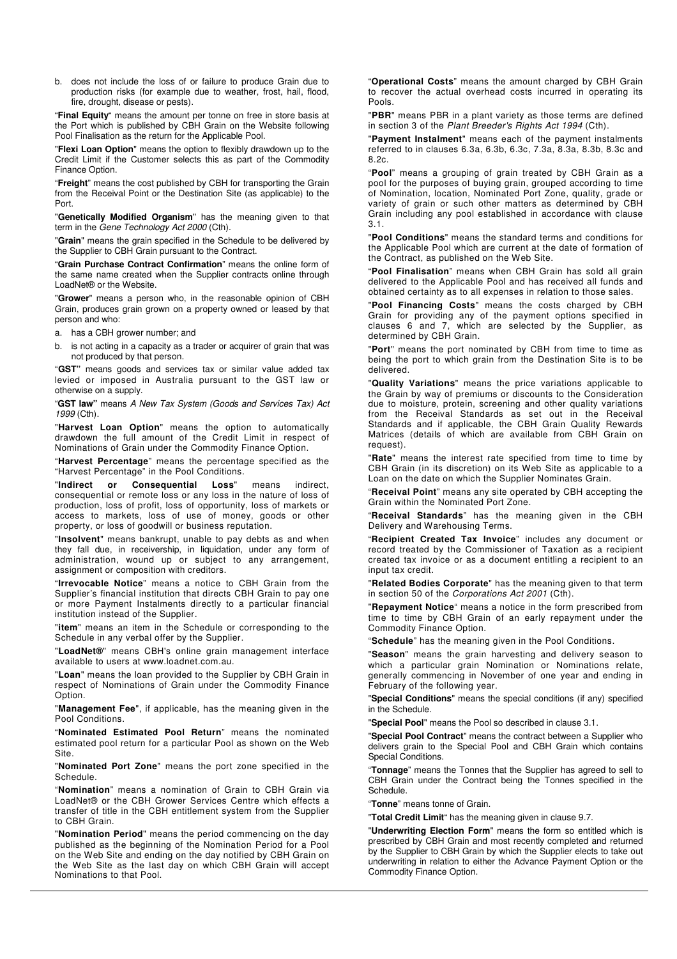b. does not include the loss of or failure to produce Grain due to production risks (for example due to weather, frost, hail, flood, fire, drought, disease or pests).

"**Final Equity**" means the amount per tonne on free in store basis at the Port which is published by CBH Grain on the Website following Pool Finalisation as the return for the Applicable Pool.

"**Flexi Loan Option**" means the option to flexibly drawdown up to the Credit Limit if the Customer selects this as part of the Commodity Finance Option.

"**Freight**" means the cost published by CBH for transporting the Grain from the Receival Point or the Destination Site (as applicable) to the Port.

"**Genetically Modified Organism**" has the meaning given to that term in the Gene Technology Act 2000 (Cth).

"**Grain**" means the grain specified in the Schedule to be delivered by the Supplier to CBH Grain pursuant to the Contract.

"**Grain Purchase Contract Confirmation**" means the online form of the same name created when the Supplier contracts online through LoadNet® or the Website.

"**Grower**" means a person who, in the reasonable opinion of CBH Grain, produces grain grown on a property owned or leased by that person and who:

a. has a CBH grower number; and

b. is not acting in a capacity as a trader or acquirer of grain that was not produced by that person.

"**GST"** means goods and services tax or similar value added tax levied or imposed in Australia pursuant to the GST law or otherwise on a supply.

"**GST law"** means A New Tax System (Goods and Services Tax) Act 1999 (Cth).

"**Harvest Loan Option**" means the option to automatically drawdown the full amount of the Credit Limit in respect of Nominations of Grain under the Commodity Finance Option.

"**Harvest Percentage**" means the percentage specified as the "Harvest Percentage" in the Pool Conditions.

"**Indirect or Consequential Loss**" means indirect, consequential or remote loss or any loss in the nature of loss of production, loss of profit, loss of opportunity, loss of markets or access to markets, loss of use of money, goods or other property, or loss of goodwill or business reputation.

"**Insolvent**" means bankrupt, unable to pay debts as and when they fall due, in receivership, in liquidation, under any form of administration, wound up or subject to any arrangement, assignment or composition with creditors.

"**Irrevocable Notice**" means a notice to CBH Grain from the Supplier's financial institution that directs CBH Grain to pay one or more Payment Instalments directly to a particular financial institution instead of the Supplier.

"**item**" means an item in the Schedule or corresponding to the Schedule in any verbal offer by the Supplier.

"**LoadNet®**" means CBH's online grain management interface available to users at www.loadnet.com.au.

"**Loan**" means the loan provided to the Supplier by CBH Grain in respect of Nominations of Grain under the Commodity Finance Option.

"**Management Fee**", if applicable, has the meaning given in the Pool Conditions.

"**Nominated Estimated Pool Return**" means the nominated estimated pool return for a particular Pool as shown on the Web Site.

"**Nominated Port Zone**" means the port zone specified in the Schedule.

"**Nomination**" means a nomination of Grain to CBH Grain via LoadNet® or the CBH Grower Services Centre which effects a transfer of title in the CBH entitlement system from the Supplier to CBH Grain.

"**Nomination Period**" means the period commencing on the day published as the beginning of the Nomination Period for a Pool on the Web Site and ending on the day notified by CBH Grain on the Web Site as the last day on which CBH Grain will accept Nominations to that Pool.

"**Operational Costs**" means the amount charged by CBH Grain to recover the actual overhead costs incurred in operating its Pools.

"**PBR**" means PBR in a plant variety as those terms are defined in section 3 of the Plant Breeder's Rights Act 1994 (Cth).

"**Payment Instalment**" means each of the payment instalments referred to in clauses 6.3a, 6.3b, 6.3c, 7.3a, 8.3a, 8.3b, 8.3c and 8.2c.

"**Pool**" means a grouping of grain treated by CBH Grain as a pool for the purposes of buying grain, grouped according to time of Nomination, location, Nominated Port Zone, quality, grade or variety of grain or such other matters as determined by CBH Grain including any pool established in accordance with clause 3.1.

"**Pool Conditions**" means the standard terms and conditions for the Applicable Pool which are current at the date of formation of the Contract, as published on the Web Site.

"**Pool Finalisation**" means when CBH Grain has sold all grain delivered to the Applicable Pool and has received all funds and obtained certainty as to all expenses in relation to those sales.

"**Pool Financing Costs**" means the costs charged by CBH Grain for providing any of the payment options specified in clauses 6 and 7, which are selected by the Supplier, as determined by CBH Grain.

"**Port**" means the port nominated by CBH from time to time as being the port to which grain from the Destination Site is to be delivered.

"**Quality Variations**" means the price variations applicable to the Grain by way of premiums or discounts to the Consideration due to moisture, protein, screening and other quality variations from the Receival Standards as set out in the Receival Standards and if applicable, the CBH Grain Quality Rewards Matrices (details of which are available from CBH Grain on request).

"**Rate**" means the interest rate specified from time to time by CBH Grain (in its discretion) on its Web Site as applicable to a Loan on the date on which the Supplier Nominates Grain.

"**Receival Point**" means any site operated by CBH accepting the Grain within the Nominated Port Zone.

"**Receival Standards**" has the meaning given in the CBH Delivery and Warehousing Terms.

"**Recipient Created Tax Invoice**" includes any document or record treated by the Commissioner of Taxation as a recipient created tax invoice or as a document entitling a recipient to an input tax credit.

"**Related Bodies Corporate**" has the meaning given to that term in section 50 of the Corporations Act 2001 (Cth).

"**Repayment Notice**" means a notice in the form prescribed from time to time by CBH Grain of an early repayment under the Commodity Finance Option.

"**Schedule**" has the meaning given in the Pool Conditions.

"**Season**" means the grain harvesting and delivery season to which a particular grain Nomination or Nominations relate, generally commencing in November of one year and ending in February of the following year.

"**Special Conditions**" means the special conditions (if any) specified in the Schedule.

"**Special Pool**" means the Pool so described in clause 3.1.

"**Special Pool Contract**" means the contract between a Supplier who delivers grain to the Special Pool and CBH Grain which contains Special Conditions.

"**Tonnage**" means the Tonnes that the Supplier has agreed to sell to CBH Grain under the Contract being the Tonnes specified in the Schedule.

"**Tonne**" means tonne of Grain.

"**Total Credit Limit**" has the meaning given in clause 9.7.

"**Underwriting Election Form**" means the form so entitled which is prescribed by CBH Grain and most recently completed and returned by the Supplier to CBH Grain by which the Supplier elects to take out underwriting in relation to either the Advance Payment Option or the Commodity Finance Option.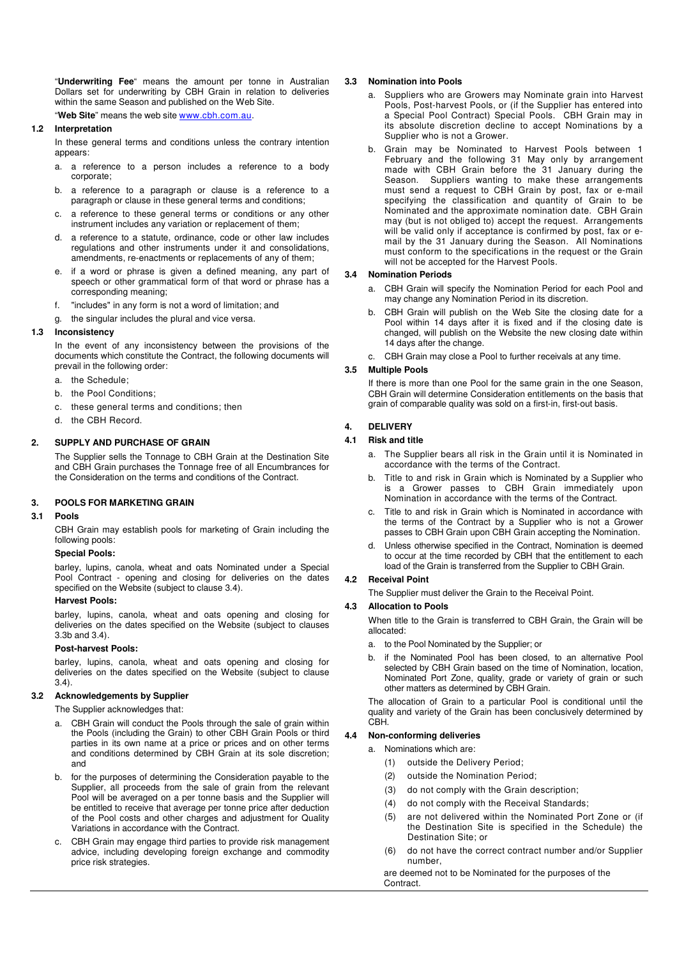"**Underwriting Fee**" means the amount per tonne in Australian Dollars set for underwriting by CBH Grain in relation to deliveries within the same Season and published on the Web Site.

"**Web Site**" means the web site www.cbh.com.au.

## **1.2 Interpretation**

In these general terms and conditions unless the contrary intention appears:

- a. a reference to a person includes a reference to a body corporate;
- b. a reference to a paragraph or clause is a reference to a paragraph or clause in these general terms and conditions;
- c. a reference to these general terms or conditions or any other instrument includes any variation or replacement of them;
- d. a reference to a statute, ordinance, code or other law includes regulations and other instruments under it and consolidations, amendments, re-enactments or replacements of any of them;
- e. if a word or phrase is given a defined meaning, any part of speech or other grammatical form of that word or phrase has a corresponding meaning;
- f. "includes" in any form is not a word of limitation; and
- g. the singular includes the plural and vice versa.

#### **1.3 Inconsistency**

In the event of any inconsistency between the provisions of the documents which constitute the Contract, the following documents will prevail in the following order:

- a. the Schedule;
- b. the Pool Conditions;
- c. these general terms and conditions; then
- d. the CBH Record.

# **2. SUPPLY AND PURCHASE OF GRAIN**

The Supplier sells the Tonnage to CBH Grain at the Destination Site and CBH Grain purchases the Tonnage free of all Encumbrances for the Consideration on the terms and conditions of the Contract.

## **3. POOLS FOR MARKETING GRAIN**

# **3.1 Pools**

CBH Grain may establish pools for marketing of Grain including the following pools:

# **Special Pools:**

barley, lupins, canola, wheat and oats Nominated under a Special Pool Contract - opening and closing for deliveries on the dates specified on the Website (subject to clause 3.4).

#### **Harvest Pools:**

barley, lupins, canola, wheat and oats opening and closing for deliveries on the dates specified on the Website (subject to clauses 3.3b and 3.4).

#### **Post-harvest Pools:**

barley, lupins, canola, wheat and oats opening and closing for deliveries on the dates specified on the Website (subject to clause  $(3.4)$ 

#### **3.2 Acknowledgements by Supplier**

The Supplier acknowledges that:

- a. CBH Grain will conduct the Pools through the sale of grain within the Pools (including the Grain) to other CBH Grain Pools or third parties in its own name at a price or prices and on other terms and conditions determined by CBH Grain at its sole discretion; and
- b. for the purposes of determining the Consideration payable to the Supplier, all proceeds from the sale of grain from the relevant Pool will be averaged on a per tonne basis and the Supplier will be entitled to receive that average per tonne price after deduction of the Pool costs and other charges and adjustment for Quality Variations in accordance with the Contract.
- c. CBH Grain may engage third parties to provide risk management advice, including developing foreign exchange and commodity price risk strategies.

#### **3.3 Nomination into Pools**

- Suppliers who are Growers may Nominate grain into Harvest Pools, Post-harvest Pools, or (if the Supplier has entered into a Special Pool Contract) Special Pools. CBH Grain may in its absolute discretion decline to accept Nominations by a Supplier who is not a Grower.
- b. Grain may be Nominated to Harvest Pools between 1 February and the following 31 May only by arrangement made with CBH Grain before the 31 January during the Season. Suppliers wanting to make these arrangements must send a request to CBH Grain by post, fax or e-mail specifying the classification and quantity of Grain to be Nominated and the approximate nomination date. CBH Grain may (but is not obliged to) accept the request. Arrangements will be valid only if acceptance is confirmed by post, fax or email by the 31 January during the Season. All Nominations must conform to the specifications in the request or the Grain will not be accepted for the Harvest Pools.

#### **3.4 Nomination Periods**

- a. CBH Grain will specify the Nomination Period for each Pool and may change any Nomination Period in its discretion.
- CBH Grain will publish on the Web Site the closing date for a Pool within 14 days after it is fixed and if the closing date is changed, will publish on the Website the new closing date within 14 days after the change.
- c. CBH Grain may close a Pool to further receivals at any time.

### **3.5 Multiple Pools**

If there is more than one Pool for the same grain in the one Season, CBH Grain will determine Consideration entitlements on the basis that grain of comparable quality was sold on a first-in, first-out basis.

## **4. DELIVERY**

### **4.1 Risk and title**

- a. The Supplier bears all risk in the Grain until it is Nominated in accordance with the terms of the Contract.
- b. Title to and risk in Grain which is Nominated by a Supplier who is a Grower passes to CBH Grain immediately upon Nomination in accordance with the terms of the Contract.
- c. Title to and risk in Grain which is Nominated in accordance with the terms of the Contract by a Supplier who is not a Grower passes to CBH Grain upon CBH Grain accepting the Nomination.
- d. Unless otherwise specified in the Contract, Nomination is deemed to occur at the time recorded by CBH that the entitlement to each load of the Grain is transferred from the Supplier to CBH Grain.

# **4.2 Receival Point**

The Supplier must deliver the Grain to the Receival Point.

#### **4.3 Allocation to Pools**

When title to the Grain is transferred to CBH Grain, the Grain will be allocated:

- a. to the Pool Nominated by the Supplier; or
- b. if the Nominated Pool has been closed, to an alternative Pool selected by CBH Grain based on the time of Nomination, location, Nominated Port Zone, quality, grade or variety of grain or such other matters as determined by CBH Grain.

The allocation of Grain to a particular Pool is conditional until the quality and variety of the Grain has been conclusively determined by CBH.

## **4.4 Non-conforming deliveries**

- a. Nominations which are:
	- (1) outside the Delivery Period;
	- (2) outside the Nomination Period;
	- (3) do not comply with the Grain description;
	- (4) do not comply with the Receival Standards;
	- (5) are not delivered within the Nominated Port Zone or (if the Destination Site is specified in the Schedule) the Destination Site; or
	- (6) do not have the correct contract number and/or Supplier number,

are deemed not to be Nominated for the purposes of the **Contract**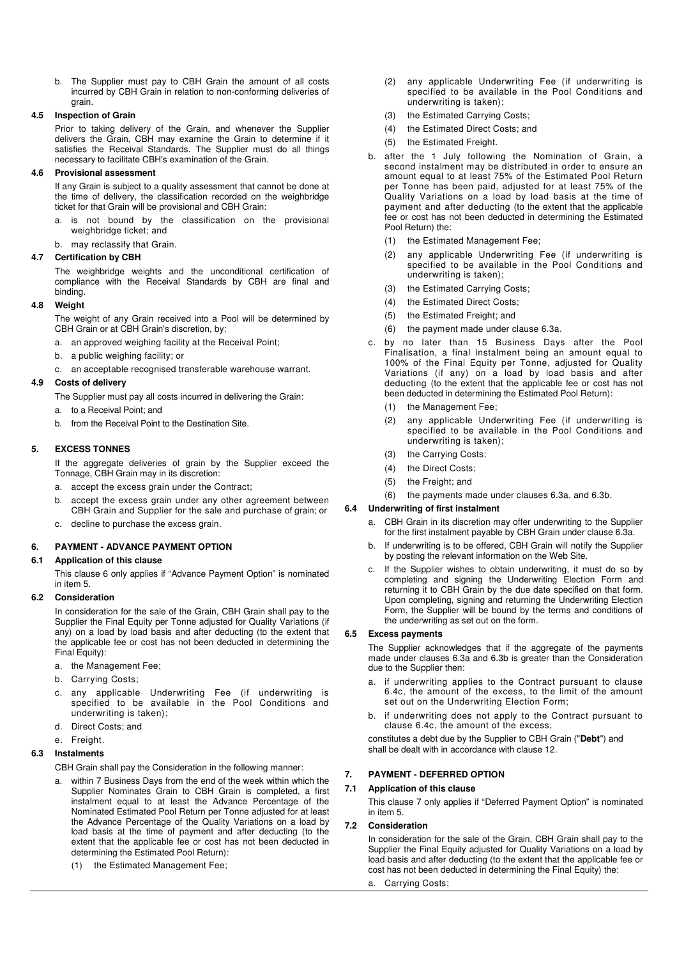b. The Supplier must pay to CBH Grain the amount of all costs incurred by CBH Grain in relation to non-conforming deliveries of grain.

## **4.5 Inspection of Grain**

Prior to taking delivery of the Grain, and whenever the Supplier delivers the Grain, CBH may examine the Grain to determine if it satisfies the Receival Standards. The Supplier must do all things necessary to facilitate CBH's examination of the Grain.

## **4.6 Provisional assessment**

If any Grain is subject to a quality assessment that cannot be done at the time of delivery, the classification recorded on the weighbridge ticket for that Grain will be provisional and CBH Grain:

- a. is not bound by the classification on the provisional weighbridge ticket; and
- b. may reclassify that Grain.

# **4.7 Certification by CBH**

The weighbridge weights and the unconditional certification of compliance with the Receival Standards by CBH are final and binding.

## **4.8 Weight**

The weight of any Grain received into a Pool will be determined by CBH Grain or at CBH Grain's discretion, by:

- a. an approved weighing facility at the Receival Point;
- b. a public weighing facility; or
- c. an acceptable recognised transferable warehouse warrant.

## **4.9 Costs of delivery**

The Supplier must pay all costs incurred in delivering the Grain:

- a. to a Receival Point; and
- b. from the Receival Point to the Destination Site.

# **5. EXCESS TONNES**

If the aggregate deliveries of grain by the Supplier exceed the Tonnage, CBH Grain may in its discretion:

- a. accept the excess grain under the Contract;
- b. accept the excess grain under any other agreement between CBH Grain and Supplier for the sale and purchase of grain; or
- c. decline to purchase the excess grain.

# **6. PAYMENT - ADVANCE PAYMENT OPTION**

## **6.1 Application of this clause**

This clause 6 only applies if "Advance Payment Option" is nominated in item 5.

## **6.2 Consideration**

In consideration for the sale of the Grain, CBH Grain shall pay to the Supplier the Final Equity per Tonne adjusted for Quality Variations (if any) on a load by load basis and after deducting (to the extent that the applicable fee or cost has not been deducted in determining the Final Equity):

- a. the Management Fee;
- b. Carrying Costs;
- c. any applicable Underwriting Fee (if underwriting is specified to be available in the Pool Conditions and underwriting is taken);
- d. Direct Costs; and

# e. Freight. **6.3 Instalments**

CBH Grain shall pay the Consideration in the following manner:

- a. within 7 Business Days from the end of the week within which the Supplier Nominates Grain to CBH Grain is completed, a first instalment equal to at least the Advance Percentage of the Nominated Estimated Pool Return per Tonne adjusted for at least the Advance Percentage of the Quality Variations on a load by load basis at the time of payment and after deducting (to the extent that the applicable fee or cost has not been deducted in determining the Estimated Pool Return):
	- (1) the Estimated Management Fee;
- (2) any applicable Underwriting Fee (if underwriting is specified to be available in the Pool Conditions and underwriting is taken);
- (3) the Estimated Carrying Costs;
- (4) the Estimated Direct Costs; and
- (5) the Estimated Freight.
- b. after the 1 July following the Nomination of Grain, a second instalment may be distributed in order to ensure an amount equal to at least 75% of the Estimated Pool Return per Tonne has been paid, adjusted for at least 75% of the Quality Variations on a load by load basis at the time of payment and after deducting (to the extent that the applicable fee or cost has not been deducted in determining the Estimated Pool Return) the:
	- (1) the Estimated Management Fee;
	- (2) any applicable Underwriting Fee (if underwriting is specified to be available in the Pool Conditions and underwriting is taken);
	- (3) the Estimated Carrying Costs;
	- (4) the Estimated Direct Costs;
	- (5) the Estimated Freight; and
	- (6) the payment made under clause 6.3a.
- c. by no later than 15 Business Days after the Pool Finalisation, a final instalment being an amount equal to 100% of the Final Equity per Tonne, adjusted for Quality Variations (if any) on a load by load basis and after deducting (to the extent that the applicable fee or cost has not been deducted in determining the Estimated Pool Return):
	- (1) the Management Fee;
	- (2) any applicable Underwriting Fee (if underwriting is specified to be available in the Pool Conditions and underwriting is taken);
	- (3) the Carrying Costs;
	- (4) the Direct Costs;
	- (5) the Freight; and
	- (6) the payments made under clauses 6.3a. and 6.3b.

# **6.4 Underwriting of first instalment**

- a. CBH Grain in its discretion may offer underwriting to the Supplier for the first instalment payable by CBH Grain under clause 6.3a.
- b. If underwriting is to be offered, CBH Grain will notify the Supplier by posting the relevant information on the Web Site.
- c. If the Supplier wishes to obtain underwriting, it must do so by completing and signing the Underwriting Election Form and returning it to CBH Grain by the due date specified on that form. Upon completing, signing and returning the Underwriting Election Form, the Supplier will be bound by the terms and conditions of the underwriting as set out on the form.

## **6.5 Excess payments**

The Supplier acknowledges that if the aggregate of the payments made under clauses 6.3a and 6.3b is greater than the Consideration due to the Supplier then:

- a. if underwriting applies to the Contract pursuant to clause 6.4c, the amount of the excess, to the limit of the amount set out on the Underwriting Election Form;
- b. if underwriting does not apply to the Contract pursuant to clause 6.4c, the amount of the excess,

constitutes a debt due by the Supplier to CBH Grain ("**Debt**") and shall be dealt with in accordance with clause 12.

# **7. PAYMENT - DEFERRED OPTION**

## **7.1 Application of this clause**

This clause 7 only applies if "Deferred Payment Option" is nominated in item 5.

## **7.2 Consideration**

In consideration for the sale of the Grain, CBH Grain shall pay to the Supplier the Final Equity adjusted for Quality Variations on a load by load basis and after deducting (to the extent that the applicable fee or cost has not been deducted in determining the Final Equity) the:

a. Carrying Costs;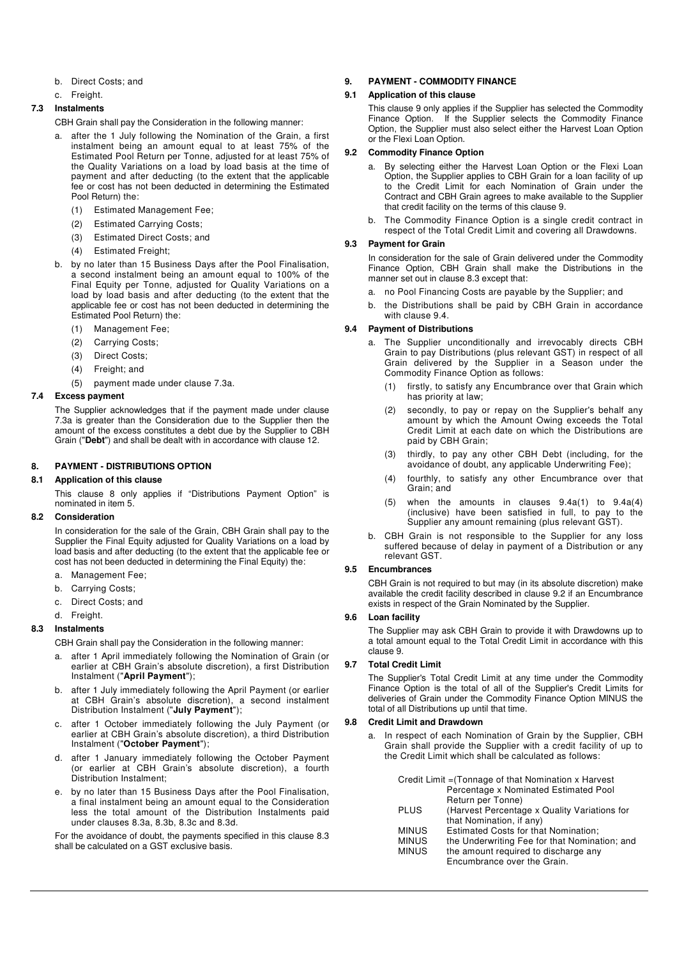- b. Direct Costs; and
- c. Freight.

## **7.3 Instalments**

CBH Grain shall pay the Consideration in the following manner:

- after the 1 July following the Nomination of the Grain, a first instalment being an amount equal to at least 75% of the Estimated Pool Return per Tonne, adjusted for at least 75% of the Quality Variations on a load by load basis at the time of payment and after deducting (to the extent that the applicable fee or cost has not been deducted in determining the Estimated Pool Return) the:
	- (1) Estimated Management Fee;
	- (2) Estimated Carrying Costs;
	- (3) Estimated Direct Costs; and
	- (4) Estimated Freight;
- b. by no later than 15 Business Days after the Pool Finalisation, a second instalment being an amount equal to 100% of the Final Equity per Tonne, adjusted for Quality Variations on a load by load basis and after deducting (to the extent that the applicable fee or cost has not been deducted in determining the Estimated Pool Return) the:
	- (1) Management Fee;
	- (2) Carrying Costs;
	- (3) Direct Costs;
	- (4) Freight; and
	- (5) payment made under clause 7.3a.

### **7.4 Excess payment**

The Supplier acknowledges that if the payment made under clause 7.3a is greater than the Consideration due to the Supplier then the amount of the excess constitutes a debt due by the Supplier to CBH Grain ("**Debt**") and shall be dealt with in accordance with clause 12.

## **8. PAYMENT - DISTRIBUTIONS OPTION**

## **8.1 Application of this clause**

This clause 8 only applies if "Distributions Payment Option" is nominated in item 5.

## **8.2 Consideration**

In consideration for the sale of the Grain, CBH Grain shall pay to the Supplier the Final Equity adjusted for Quality Variations on a load by load basis and after deducting (to the extent that the applicable fee or cost has not been deducted in determining the Final Equity) the:

- a. Management Fee;
- b. Carrying Costs;
- c. Direct Costs; and
- d. Freight.

# **8.3 Instalments**

CBH Grain shall pay the Consideration in the following manner:

- a. after 1 April immediately following the Nomination of Grain (or earlier at CBH Grain's absolute discretion), a first Distribution Instalment ("**April Payment**");
- b. after 1 July immediately following the April Payment (or earlier at CBH Grain's absolute discretion), a second instalment Distribution Instalment ("**July Payment**");
- c. after 1 October immediately following the July Payment (or earlier at CBH Grain's absolute discretion), a third Distribution Instalment ("**October Payment**");
- d. after 1 January immediately following the October Payment (or earlier at CBH Grain's absolute discretion), a fourth Distribution Instalment;
- e. by no later than 15 Business Days after the Pool Finalisation, a final instalment being an amount equal to the Consideration less the total amount of the Distribution Instalments paid under clauses 8.3a, 8.3b, 8.3c and 8.3d.

For the avoidance of doubt, the payments specified in this clause 8.3 shall be calculated on a GST exclusive basis.

# **9. PAYMENT - COMMODITY FINANCE**

### **9.1 Application of this clause**

This clause 9 only applies if the Supplier has selected the Commodity Finance Option. If the Supplier selects the Commodity Finance Option, the Supplier must also select either the Harvest Loan Option or the Flexi Loan Option.

### **9.2 Commodity Finance Option**

- a. By selecting either the Harvest Loan Option or the Flexi Loan Option, the Supplier applies to CBH Grain for a loan facility of up to the Credit Limit for each Nomination of Grain under the Contract and CBH Grain agrees to make available to the Supplier that credit facility on the terms of this clause 9.
- The Commodity Finance Option is a single credit contract in respect of the Total Credit Limit and covering all Drawdowns.

## **9.3 Payment for Grain**

In consideration for the sale of Grain delivered under the Commodity Finance Option, CBH Grain shall make the Distributions in the manner set out in clause 8.3 except that:

- a. no Pool Financing Costs are payable by the Supplier; and
- b. the Distributions shall be paid by CBH Grain in accordance with clause 9.4.

#### **9.4 Payment of Distributions**

- a. The Supplier unconditionally and irrevocably directs CBH Grain to pay Distributions (plus relevant GST) in respect of all Grain delivered by the Supplier in a Season under the Commodity Finance Option as follows:
	- (1) firstly, to satisfy any Encumbrance over that Grain which has priority at law;
	- (2) secondly, to pay or repay on the Supplier's behalf any amount by which the Amount Owing exceeds the Total Credit Limit at each date on which the Distributions are paid by CBH Grain;
	- (3) thirdly, to pay any other CBH Debt (including, for the avoidance of doubt, any applicable Underwriting Fee);
	- (4) fourthly, to satisfy any other Encumbrance over that Grain; and
	- (5) when the amounts in clauses 9.4a(1) to 9.4a(4) (inclusive) have been satisfied in full, to pay to the Supplier any amount remaining (plus relevant GST).
- b. CBH Grain is not responsible to the Supplier for any loss suffered because of delay in payment of a Distribution or any relevant GST.

## **9.5 Encumbrances**

CBH Grain is not required to but may (in its absolute discretion) make available the credit facility described in clause 9.2 if an Encumbrance exists in respect of the Grain Nominated by the Supplier.

## **9.6 Loan facility**

The Supplier may ask CBH Grain to provide it with Drawdowns up to a total amount equal to the Total Credit Limit in accordance with this clause 9.

# **9.7 Total Credit Limit**

The Supplier's Total Credit Limit at any time under the Commodity Finance Option is the total of all of the Supplier's Credit Limits for deliveries of Grain under the Commodity Finance Option MINUS the total of all Distributions up until that time.

## **9.8 Credit Limit and Drawdown**

a. In respect of each Nomination of Grain by the Supplier, CBH Grain shall provide the Supplier with a credit facility of up to the Credit Limit which shall be calculated as follows:

| Credit Limit = (Tonnage of that Nomination x Harvest |                                               |  |
|------------------------------------------------------|-----------------------------------------------|--|
|                                                      | Percentage x Nominated Estimated Pool         |  |
|                                                      | Return per Tonne)                             |  |
| <b>PLUS</b>                                          | (Harvest Percentage x Quality Variations for  |  |
|                                                      | that Nomination, if any)                      |  |
| <b>MINUS</b>                                         | Estimated Costs for that Nomination:          |  |
| <b>MINUS</b>                                         | the Underwriting Fee for that Nomination; and |  |
| <b>MINUS</b>                                         | the amount required to discharge any          |  |
|                                                      | Encumbrance over the Grain.                   |  |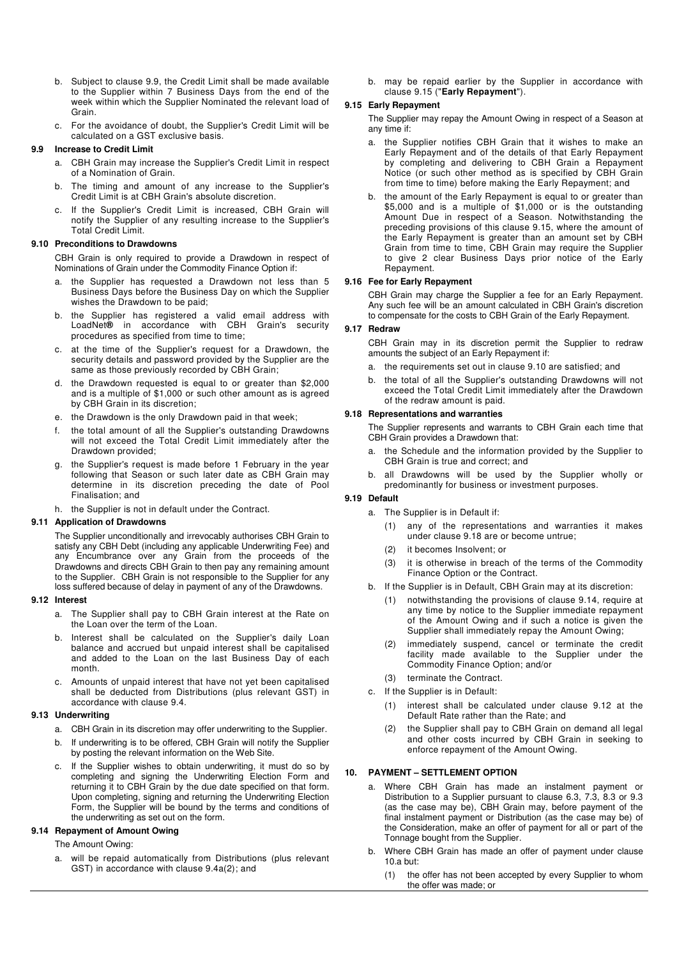- b. Subject to clause 9.9, the Credit Limit shall be made available to the Supplier within 7 Business Days from the end of the week within which the Supplier Nominated the relevant load of Grain.
- c. For the avoidance of doubt, the Supplier's Credit Limit will be calculated on a GST exclusive basis.

### **9.9 Increase to Credit Limit**

- a. CBH Grain may increase the Supplier's Credit Limit in respect of a Nomination of Grain.
- b. The timing and amount of any increase to the Supplier's Credit Limit is at CBH Grain's absolute discretion.
- c. If the Supplier's Credit Limit is increased, CBH Grain will notify the Supplier of any resulting increase to the Supplier's Total Credit Limit.

### **9.10 Preconditions to Drawdowns**

CBH Grain is only required to provide a Drawdown in respect of Nominations of Grain under the Commodity Finance Option if:

- a. the Supplier has requested a Drawdown not less than 5 Business Days before the Business Day on which the Supplier wishes the Drawdown to be paid;
- b. the Supplier has registered a valid email address with LoadNet**®** in accordance with CBH Grain's security procedures as specified from time to time;
- c. at the time of the Supplier's request for a Drawdown, the security details and password provided by the Supplier are the same as those previously recorded by CBH Grain;
- d. the Drawdown requested is equal to or greater than \$2,000 and is a multiple of \$1,000 or such other amount as is agreed by CBH Grain in its discretion;
- e. the Drawdown is the only Drawdown paid in that week;
- f. the total amount of all the Supplier's outstanding Drawdowns will not exceed the Total Credit Limit immediately after the Drawdown provided;
- g. the Supplier's request is made before 1 February in the year following that Season or such later date as CBH Grain may determine in its discretion preceding the date of Pool Finalisation; and
- h. the Supplier is not in default under the Contract.

# **9.11 Application of Drawdowns**

The Supplier unconditionally and irrevocably authorises CBH Grain to satisfy any CBH Debt (including any applicable Underwriting Fee) and any Encumbrance over any Grain from the proceeds of the Drawdowns and directs CBH Grain to then pay any remaining amount to the Supplier. CBH Grain is not responsible to the Supplier for any loss suffered because of delay in payment of any of the Drawdowns.

#### **9.12 Interest**

- a. The Supplier shall pay to CBH Grain interest at the Rate on the Loan over the term of the Loan.
- b. Interest shall be calculated on the Supplier's daily Loan balance and accrued but unpaid interest shall be capitalised and added to the Loan on the last Business Day of each month.
- c. Amounts of unpaid interest that have not yet been capitalised shall be deducted from Distributions (plus relevant GST) in accordance with clause 9.4.

#### **9.13 Underwriting**

- a. CBH Grain in its discretion may offer underwriting to the Supplier.
- b. If underwriting is to be offered, CBH Grain will notify the Supplier by posting the relevant information on the Web Site.
- If the Supplier wishes to obtain underwriting, it must do so by completing and signing the Underwriting Election Form and returning it to CBH Grain by the due date specified on that form. Upon completing, signing and returning the Underwriting Election Form, the Supplier will be bound by the terms and conditions of the underwriting as set out on the form.

# **9.14 Repayment of Amount Owing**

The Amount Owing:

a. will be repaid automatically from Distributions (plus relevant GST) in accordance with clause 9.4a(2); and

b. may be repaid earlier by the Supplier in accordance with clause 9.15 ("**Early Repayment**").

# **9.15 Early Repayment**

The Supplier may repay the Amount Owing in respect of a Season at any time if:

- a. the Supplier notifies CBH Grain that it wishes to make an Early Repayment and of the details of that Early Repayment by completing and delivering to CBH Grain a Repayment Notice (or such other method as is specified by CBH Grain from time to time) before making the Early Repayment; and
- b. the amount of the Early Repayment is equal to or greater than \$5,000 and is a multiple of \$1,000 or is the outstanding Amount Due in respect of a Season. Notwithstanding the preceding provisions of this clause 9.15, where the amount of the Early Repayment is greater than an amount set by CBH Grain from time to time, CBH Grain may require the Supplier to give 2 clear Business Days prior notice of the Early Repayment.

# **9.16 Fee for Early Repayment**

CBH Grain may charge the Supplier a fee for an Early Repayment. Any such fee will be an amount calculated in CBH Grain's discretion to compensate for the costs to CBH Grain of the Early Repayment.

#### **9.17 Redraw**

CBH Grain may in its discretion permit the Supplier to redraw amounts the subject of an Early Repayment if:

- a. the requirements set out in clause 9.10 are satisfied; and
- b. the total of all the Supplier's outstanding Drawdowns will not exceed the Total Credit Limit immediately after the Drawdown of the redraw amount is paid.

#### **9.18 Representations and warranties**

The Supplier represents and warrants to CBH Grain each time that CBH Grain provides a Drawdown that:

- a. the Schedule and the information provided by the Supplier to CBH Grain is true and correct; and
- b. all Drawdowns will be used by the Supplier wholly or predominantly for business or investment purposes.

### **9.19 Default**

- a. The Supplier is in Default if:
	- (1) any of the representations and warranties it makes under clause 9.18 are or become untrue;
	- (2) it becomes Insolvent; or
	- (3) it is otherwise in breach of the terms of the Commodity Finance Option or the Contract.
- b. If the Supplier is in Default, CBH Grain may at its discretion:
	- (1) notwithstanding the provisions of clause 9.14, require at any time by notice to the Supplier immediate repayment of the Amount Owing and if such a notice is given the Supplier shall immediately repay the Amount Owing:
	- (2) immediately suspend, cancel or terminate the credit facility made available to the Supplier under the Commodity Finance Option; and/or
	- (3) terminate the Contract.
- c. If the Supplier is in Default:
	- (1) interest shall be calculated under clause 9.12 at the Default Rate rather than the Rate; and
	- (2) the Supplier shall pay to CBH Grain on demand all legal and other costs incurred by CBH Grain in seeking to enforce repayment of the Amount Owing.

## **10. PAYMENT – SETTLEMENT OPTION**

- a. Where CBH Grain has made an instalment payment or Distribution to a Supplier pursuant to clause 6.3, 7.3, 8.3 or 9.3 (as the case may be), CBH Grain may, before payment of the final instalment payment or Distribution (as the case may be) of the Consideration, make an offer of payment for all or part of the Tonnage bought from the Supplier.
- b. Where CBH Grain has made an offer of payment under clause 10.a but:
	- (1) the offer has not been accepted by every Supplier to whom the offer was made; or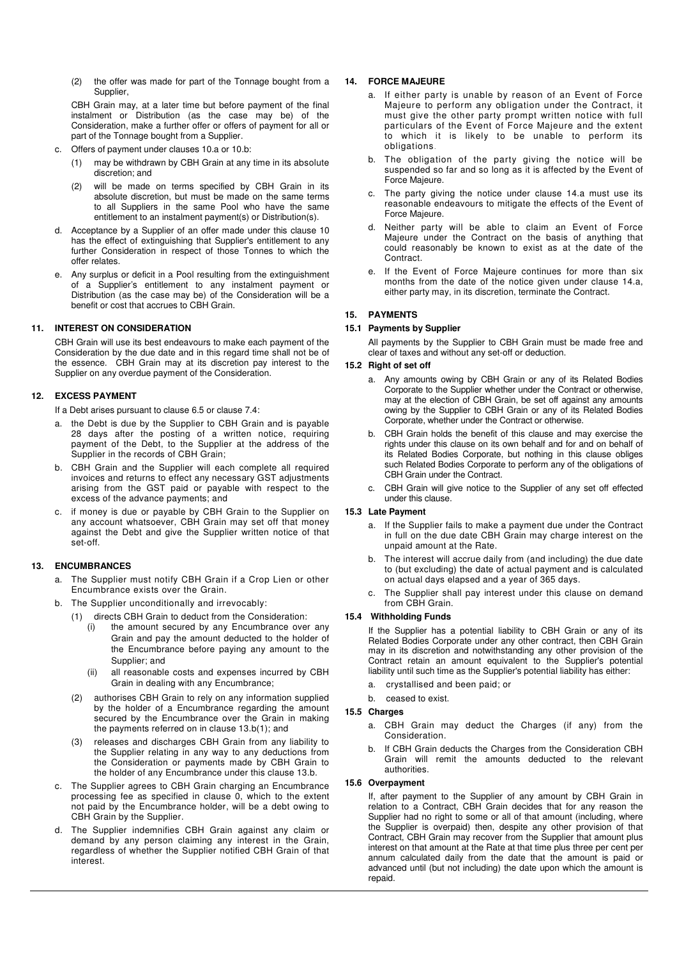(2) the offer was made for part of the Tonnage bought from a Supplier,

CBH Grain may, at a later time but before payment of the final instalment or Distribution (as the case may be) of the Consideration, make a further offer or offers of payment for all or part of the Tonnage bought from a Supplier.

- c. Offers of payment under clauses 10.a or 10.b:
	- (1) may be withdrawn by CBH Grain at any time in its absolute discretion; and
	- (2) will be made on terms specified by CBH Grain in its absolute discretion, but must be made on the same terms to all Suppliers in the same Pool who have the same entitlement to an instalment payment(s) or Distribution(s).
- d. Acceptance by a Supplier of an offer made under this clause 10 has the effect of extinguishing that Supplier's entitlement to any further Consideration in respect of those Tonnes to which the offer relates.
- e. Any surplus or deficit in a Pool resulting from the extinguishment of a Supplier's entitlement to any instalment payment or Distribution (as the case may be) of the Consideration will be a benefit or cost that accrues to CBH Grain.

## **11. INTEREST ON CONSIDERATION**

CBH Grain will use its best endeavours to make each payment of the Consideration by the due date and in this regard time shall not be of the essence. CBH Grain may at its discretion pay interest to the Supplier on any overdue payment of the Consideration.

## **12. EXCESS PAYMENT**

If a Debt arises pursuant to clause 6.5 or clause 7.4:

- a. the Debt is due by the Supplier to CBH Grain and is payable 28 days after the posting of a written notice, requiring payment of the Debt, to the Supplier at the address of the Supplier in the records of CBH Grain;
- b. CBH Grain and the Supplier will each complete all required invoices and returns to effect any necessary GST adjustments arising from the GST paid or payable with respect to the excess of the advance payments; and
- c. if money is due or payable by CBH Grain to the Supplier on any account whatsoever, CBH Grain may set off that money against the Debt and give the Supplier written notice of that set-off.

# **13. ENCUMBRANCES**

- a. The Supplier must notify CBH Grain if a Crop Lien or other Encumbrance exists over the Grain.
- b. The Supplier unconditionally and irrevocably:
	- (1) directs CBH Grain to deduct from the Consideration:
		- (i) the amount secured by any Encumbrance over any Grain and pay the amount deducted to the holder of the Encumbrance before paying any amount to the Supplier; and
		- (ii) all reasonable costs and expenses incurred by CBH Grain in dealing with any Encumbrance;
	- (2) authorises CBH Grain to rely on any information supplied by the holder of a Encumbrance regarding the amount secured by the Encumbrance over the Grain in making the payments referred on in clause 13.b(1); and
	- (3) releases and discharges CBH Grain from any liability to the Supplier relating in any way to any deductions from the Consideration or payments made by CBH Grain to the holder of any Encumbrance under this clause 13.b.
- c. The Supplier agrees to CBH Grain charging an Encumbrance processing fee as specified in clause 0, which to the extent not paid by the Encumbrance holder, will be a debt owing to CBH Grain by the Supplier.
- d. The Supplier indemnifies CBH Grain against any claim or demand by any person claiming any interest in the Grain, regardless of whether the Supplier notified CBH Grain of that interest.

## **14. FORCE MAJEURE**

- a. If either party is unable by reason of an Event of Force Majeure to perform any obligation under the Contract, it must give the other party prompt written notice with full particulars of the Event of Force Majeure and the extent to which it is likely to be unable to perform its obligations.
- b. The obligation of the party giving the notice will be suspended so far and so long as it is affected by the Event of Force Majeure.
- c. The party giving the notice under clause 14.a must use its reasonable endeavours to mitigate the effects of the Event of Force Majeure.
- d. Neither party will be able to claim an Event of Force Majeure under the Contract on the basis of anything that could reasonably be known to exist as at the date of the Contract.
- If the Event of Force Majeure continues for more than six months from the date of the notice given under clause 14.a, either party may, in its discretion, terminate the Contract.

## **15. PAYMENTS**

## **15.1 Payments by Supplier**

All payments by the Supplier to CBH Grain must be made free and clear of taxes and without any set-off or deduction.

## **15.2 Right of set off**

- a. Any amounts owing by CBH Grain or any of its Related Bodies Corporate to the Supplier whether under the Contract or otherwise, may at the election of CBH Grain, be set off against any amounts owing by the Supplier to CBH Grain or any of its Related Bodies Corporate, whether under the Contract or otherwise.
- b. CBH Grain holds the benefit of this clause and may exercise the rights under this clause on its own behalf and for and on behalf of its Related Bodies Corporate, but nothing in this clause obliges such Related Bodies Corporate to perform any of the obligations of CBH Grain under the Contract.
- c. CBH Grain will give notice to the Supplier of any set off effected under this clause.

## **15.3 Late Payment**

- a. If the Supplier fails to make a payment due under the Contract in full on the due date CBH Grain may charge interest on the unpaid amount at the Rate.
- b. The interest will accrue daily from (and including) the due date to (but excluding) the date of actual payment and is calculated on actual days elapsed and a year of 365 days.
- c. The Supplier shall pay interest under this clause on demand from CBH Grain.

# **15.4 Withholding Funds**

If the Supplier has a potential liability to CBH Grain or any of its Related Bodies Corporate under any other contract, then CBH Grain may in its discretion and notwithstanding any other provision of the Contract retain an amount equivalent to the Supplier's potential liability until such time as the Supplier's potential liability has either:

a. crystallised and been paid; or

# b. ceased to exist.

## **15.5 Charges**

- a. CBH Grain may deduct the Charges (if any) from the Consideration.
- b. If CBH Grain deducts the Charges from the Consideration CBH Grain will remit the amounts deducted to the relevant authorities.

# **15.6 Overpayment**

If, after payment to the Supplier of any amount by CBH Grain in relation to a Contract, CBH Grain decides that for any reason the Supplier had no right to some or all of that amount (including, where the Supplier is overpaid) then, despite any other provision of that Contract, CBH Grain may recover from the Supplier that amount plus interest on that amount at the Rate at that time plus three per cent per annum calculated daily from the date that the amount is paid or advanced until (but not including) the date upon which the amount is repaid.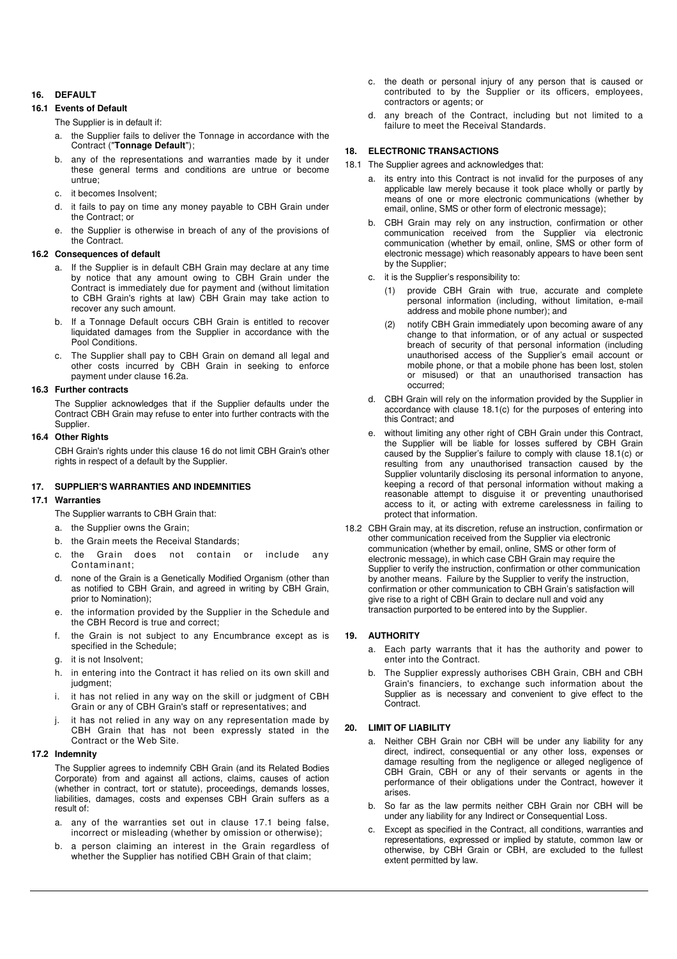# **16. DEFAULT**

# **16.1 Events of Default**

The Supplier is in default if:

- a. the Supplier fails to deliver the Tonnage in accordance with the Contract ("**Tonnage Default**");
- b. any of the representations and warranties made by it under these general terms and conditions are untrue or become untrue;
- c. it becomes Insolvent;
- d. it fails to pay on time any money payable to CBH Grain under the Contract; or
- e. the Supplier is otherwise in breach of any of the provisions of the Contract.

## **16.2 Consequences of default**

- a. If the Supplier is in default CBH Grain may declare at any time by notice that any amount owing to CBH Grain under the Contract is immediately due for payment and (without limitation to CBH Grain's rights at law) CBH Grain may take action to recover any such amount.
- b. If a Tonnage Default occurs CBH Grain is entitled to recover liquidated damages from the Supplier in accordance with the Pool Conditions.
- c. The Supplier shall pay to CBH Grain on demand all legal and other costs incurred by CBH Grain in seeking to enforce payment under clause 16.2a.

#### **16.3 Further contracts**

The Supplier acknowledges that if the Supplier defaults under the Contract CBH Grain may refuse to enter into further contracts with the Supplier.

### **16.4 Other Rights**

CBH Grain's rights under this clause 16 do not limit CBH Grain's other rights in respect of a default by the Supplier.

## **17. SUPPLIER'S WARRANTIES AND INDEMNITIES**

# **17.1 Warranties**

- The Supplier warrants to CBH Grain that:
- a. the Supplier owns the Grain;
- b. the Grain meets the Receival Standards;
- c. the Grain does not contain or include any Contaminant;
- d. none of the Grain is a Genetically Modified Organism (other than as notified to CBH Grain, and agreed in writing by CBH Grain, prior to Nomination);
- e. the information provided by the Supplier in the Schedule and the CBH Record is true and correct;
- f. the Grain is not subject to any Encumbrance except as is specified in the Schedule;
- g. it is not Insolvent;
- h. in entering into the Contract it has relied on its own skill and judament;
- it has not relied in any way on the skill or judgment of CBH Grain or any of CBH Grain's staff or representatives; and
- it has not relied in any way on any representation made by CBH Grain that has not been expressly stated in the Contract or the Web Site.

#### **17.2 Indemnity**

The Supplier agrees to indemnify CBH Grain (and its Related Bodies Corporate) from and against all actions, claims, causes of action (whether in contract, tort or statute), proceedings, demands losses, liabilities, damages, costs and expenses CBH Grain suffers as a result of:

- a. any of the warranties set out in clause 17.1 being false, incorrect or misleading (whether by omission or otherwise);
- b. a person claiming an interest in the Grain regardless of whether the Supplier has notified CBH Grain of that claim;
- c. the death or personal injury of any person that is caused or contributed to by the Supplier or its officers, employees, contractors or agents; or
- d. any breach of the Contract, including but not limited to a failure to meet the Receival Standards.

## **18. ELECTRONIC TRANSACTIONS**

- 18.1 The Supplier agrees and acknowledges that:
	- a. its entry into this Contract is not invalid for the purposes of any applicable law merely because it took place wholly or partly by means of one or more electronic communications (whether by email, online, SMS or other form of electronic message);
	- b. CBH Grain may rely on any instruction, confirmation or other communication received from the Supplier via electronic communication (whether by email, online, SMS or other form of electronic message) which reasonably appears to have been sent by the Supplier;
	- c. it is the Supplier's responsibility to:
		- (1) provide CBH Grain with true, accurate and complete personal information (including, without limitation, e-mail address and mobile phone number); and
		- (2) notify CBH Grain immediately upon becoming aware of any change to that information, or of any actual or suspected breach of security of that personal information (including unauthorised access of the Supplier's email account or mobile phone, or that a mobile phone has been lost, stolen or misused) or that an unauthorised transaction has occurred;
	- d. CBH Grain will rely on the information provided by the Supplier in accordance with clause 18.1(c) for the purposes of entering into this Contract; and
	- e. without limiting any other right of CBH Grain under this Contract, the Supplier will be liable for losses suffered by CBH Grain caused by the Supplier's failure to comply with clause 18.1(c) or resulting from any unauthorised transaction caused by the Supplier voluntarily disclosing its personal information to anyone, keeping a record of that personal information without making a reasonable attempt to disguise it or preventing unauthorised access to it, or acting with extreme carelessness in failing to protect that information.
- 18.2 CBH Grain may, at its discretion, refuse an instruction, confirmation or other communication received from the Supplier via electronic communication (whether by email, online, SMS or other form of electronic message), in which case CBH Grain may require the Supplier to verify the instruction, confirmation or other communication by another means. Failure by the Supplier to verify the instruction, confirmation or other communication to CBH Grain's satisfaction will give rise to a right of CBH Grain to declare null and void any transaction purported to be entered into by the Supplier.

## **19. AUTHORITY**

- a. Each party warrants that it has the authority and power to enter into the Contract.
- The Supplier expressly authorises CBH Grain, CBH and CBH Grain's financiers, to exchange such information about the Supplier as is necessary and convenient to give effect to the Contract.

## **20. LIMIT OF LIABILITY**

- a. Neither CBH Grain nor CBH will be under any liability for any direct, indirect, consequential or any other loss, expenses or damage resulting from the negligence or alleged negligence of CBH Grain, CBH or any of their servants or agents in the performance of their obligations under the Contract, however it arises.
- b. So far as the law permits neither CBH Grain nor CBH will be under any liability for any Indirect or Consequential Loss.
- c. Except as specified in the Contract, all conditions, warranties and representations, expressed or implied by statute, common law or otherwise, by CBH Grain or CBH, are excluded to the fullest extent permitted by law.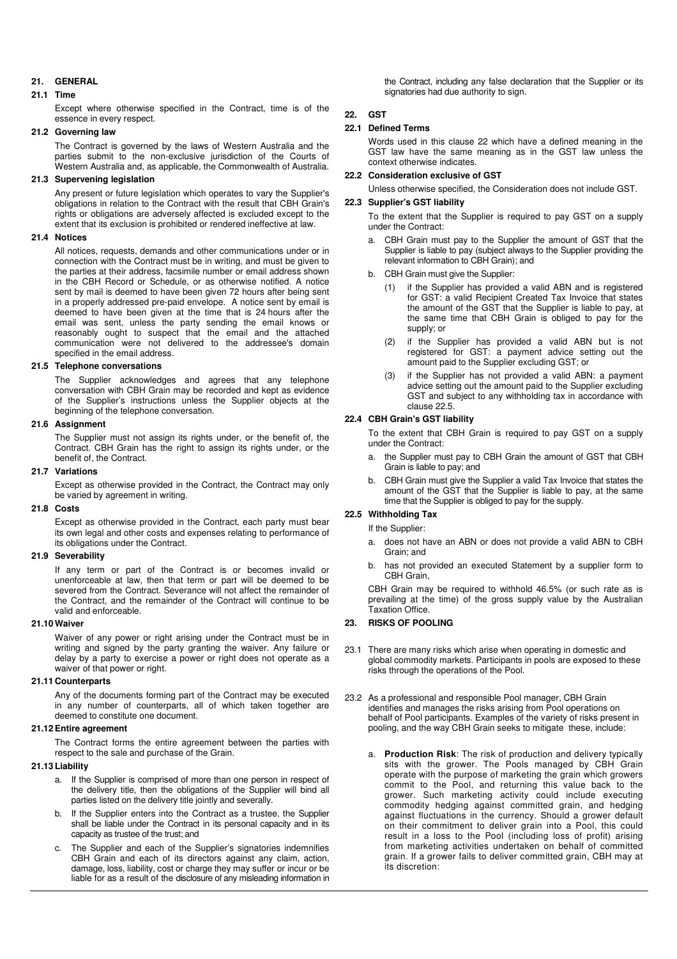# **21. GENERAL**

# **21.1 Time**

Except where otherwise specified in the Contract, time is of the essence in every respect.

# **21.2 Governing law**

The Contract is governed by the laws of Western Australia and the parties submit to the non-exclusive jurisdiction of the Courts of Western Australia and, as applicable, the Commonwealth of Australia.

# **21.3 Supervening legislation**

Any present or future legislation which operates to vary the Supplier's obligations in relation to the Contract with the result that CBH Grain's rights or obligations are adversely affected is excluded except to the extent that its exclusion is prohibited or rendered ineffective at law.

#### **21.4 Notices**

All notices, requests, demands and other communications under or in connection with the Contract must be in writing, and must be given to the parties at their address, facsimile number or email address shown in the CBH Record or Schedule, or as otherwise notified. A notice sent by mail is deemed to have been given 72 hours after being sent in a properly addressed pre-paid envelope. A notice sent by email is deemed to have been given at the time that is 24 hours after the email was sent, unless the party sending the email knows or reasonably ought to suspect that the email and the attached communication were not delivered to the addressee's domain specified in the email address.

#### **21.5 Telephone conversations**

The Supplier acknowledges and agrees that any telephone conversation with CBH Grain may be recorded and kept as evidence of the Supplier's instructions unless the Supplier objects at the beginning of the telephone conversation.

## **21.6 Assignment**

The Supplier must not assign its rights under, or the benefit of, the Contract. CBH Grain has the right to assign its rights under, or the benefit of, the Contract.

## **21.7 Variations**

Except as otherwise provided in the Contract, the Contract may only be varied by agreement in writing.

## **21.8 Costs**

Except as otherwise provided in the Contract, each party must bear its own legal and other costs and expenses relating to performance of its obligations under the Contract.

## **21.9 Severability**

If any term or part of the Contract is or becomes invalid or unenforceable at law, then that term or part will be deemed to be severed from the Contract. Severance will not affect the remainder of the Contract, and the remainder of the Contract will continue to be valid and enforceable.

### **21.10 Waiver**

Waiver of any power or right arising under the Contract must be in writing and signed by the party granting the waiver. Any failure or delay by a party to exercise a power or right does not operate as a waiver of that power or right.

## **21.11 Counterparts**

Any of the documents forming part of the Contract may be executed in any number of counterparts, all of which taken together are deemed to constitute one document.

# **21.12 Entire agreement**

The Contract forms the entire agreement between the parties with respect to the sale and purchase of the Grain.

## **21.13 Liability**

- a. If the Supplier is comprised of more than one person in respect of the delivery title, then the obligations of the Supplier will bind all parties listed on the delivery title jointly and severally.
- b. If the Supplier enters into the Contract as a trustee, the Supplier shall be liable under the Contract in its personal capacity and in its capacity as trustee of the trust; and
- c. The Supplier and each of the Supplier's signatories indemnifies CBH Grain and each of its directors against any claim, action, damage, loss, liability, cost or charge they may suffer or incur or be liable for as a result of the disclosure of any misleading information in

the Contract, including any false declaration that the Supplier or its signatories had due authority to sign.

# **22. GST**

## **22.1 Defined Terms**

Words used in this clause 22 which have a defined meaning in the GST law have the same meaning as in the GST law unless the context otherwise indicates.

#### **22.2 Consideration exclusive of GST**

Unless otherwise specified, the Consideration does not include GST.

# **22.3 Supplier's GST liability**

To the extent that the Supplier is required to pay GST on a supply under the Contract:

- a. CBH Grain must pay to the Supplier the amount of GST that the Supplier is liable to pay (subject always to the Supplier providing the relevant information to CBH Grain); and
- b. CBH Grain must give the Supplier:
	- if the Supplier has provided a valid ABN and is registered for GST: a valid Recipient Created Tax Invoice that states the amount of the GST that the Supplier is liable to pay, at the same time that CBH Grain is obliged to pay for the supply; or
	- (2) if the Supplier has provided a valid ABN but is not registered for GST: a payment advice setting out the amount paid to the Supplier excluding GST; or
	- (3) if the Supplier has not provided a valid ABN: a payment advice setting out the amount paid to the Supplier excluding GST and subject to any withholding tax in accordance with clause 22.5.

## **22.4 CBH Grain's GST liability**

To the extent that CBH Grain is required to pay GST on a supply under the Contract:

- a. the Supplier must pay to CBH Grain the amount of GST that CBH Grain is liable to pay; and
- b. CBH Grain must give the Supplier a valid Tax Invoice that states the amount of the GST that the Supplier is liable to pay, at the same time that the Supplier is obliged to pay for the supply.

## **22.5 Withholding Tax**

If the Supplier:

- a. does not have an ABN or does not provide a valid ABN to CBH Grain; and
- b. has not provided an executed Statement by a supplier form to CBH Grain,

CBH Grain may be required to withhold 46.5% (or such rate as is prevailing at the time) of the gross supply value by the Australian Taxation Office.

## **23. RISKS OF POOLING**

- 23.1 There are many risks which arise when operating in domestic and global commodity markets. Participants in pools are exposed to these risks through the operations of the Pool.
- 23.2 As a professional and responsible Pool manager, CBH Grain identifies and manages the risks arising from Pool operations on behalf of Pool participants. Examples of the variety of risks present in pooling, and the way CBH Grain seeks to mitigate these, include:
	- a. **Production Risk**: The risk of production and delivery typically sits with the grower. The Pools managed by CBH Grain operate with the purpose of marketing the grain which growers commit to the Pool, and returning this value back to the grower. Such marketing activity could include executing commodity hedging against committed grain, and hedging against fluctuations in the currency. Should a grower default on their commitment to deliver grain into a Pool, this could result in a loss to the Pool (including loss of profit) arising from marketing activities undertaken on behalf of committed grain. If a grower fails to deliver committed grain, CBH may at its discretion: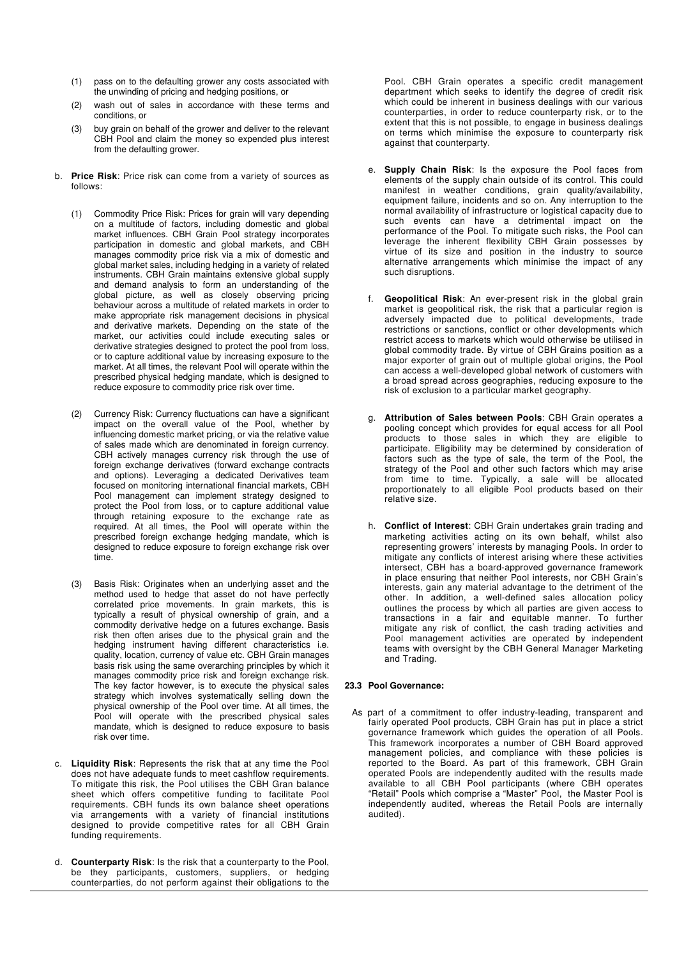- (1) pass on to the defaulting grower any costs associated with the unwinding of pricing and hedging positions, or
- (2) wash out of sales in accordance with these terms and conditions, or
- (3) buy grain on behalf of the grower and deliver to the relevant CBH Pool and claim the money so expended plus interest from the defaulting grower.
- b. **Price Risk**: Price risk can come from a variety of sources as follows:
	- (1) Commodity Price Risk: Prices for grain will vary depending on a multitude of factors, including domestic and global market influences. CBH Grain Pool strategy incorporates participation in domestic and global markets, and CBH manages commodity price risk via a mix of domestic and global market sales, including hedging in a variety of related instruments. CBH Grain maintains extensive global supply and demand analysis to form an understanding of the global picture, as well as closely observing pricing behaviour across a multitude of related markets in order to make appropriate risk management decisions in physical and derivative markets. Depending on the state of the market, our activities could include executing sales or derivative strategies designed to protect the pool from loss, or to capture additional value by increasing exposure to the market. At all times, the relevant Pool will operate within the prescribed physical hedging mandate, which is designed to reduce exposure to commodity price risk over time.
	- (2) Currency Risk: Currency fluctuations can have a significant impact on the overall value of the Pool, whether by influencing domestic market pricing, or via the relative value of sales made which are denominated in foreign currency. CBH actively manages currency risk through the use of foreign exchange derivatives (forward exchange contracts and options). Leveraging a dedicated Derivatives team focused on monitoring international financial markets, CBH Pool management can implement strategy designed to protect the Pool from loss, or to capture additional value through retaining exposure to the exchange rate as required. At all times, the Pool will operate within the prescribed foreign exchange hedging mandate, which is designed to reduce exposure to foreign exchange risk over time.
	- (3) Basis Risk: Originates when an underlying asset and the method used to hedge that asset do not have perfectly correlated price movements. In grain markets, this is typically a result of physical ownership of grain, and a commodity derivative hedge on a futures exchange. Basis risk then often arises due to the physical grain and the hedging instrument having different characteristics i.e. quality, location, currency of value etc. CBH Grain manages basis risk using the same overarching principles by which it manages commodity price risk and foreign exchange risk. The key factor however, is to execute the physical sales strategy which involves systematically selling down the physical ownership of the Pool over time. At all times, the Pool will operate with the prescribed physical sales mandate, which is designed to reduce exposure to basis risk over time.
- c. **Liquidity Risk**: Represents the risk that at any time the Pool does not have adequate funds to meet cashflow requirements. To mitigate this risk, the Pool utilises the CBH Gran balance sheet which offers competitive funding to facilitate Pool requirements. CBH funds its own balance sheet operations via arrangements with a variety of financial institutions designed to provide competitive rates for all CBH Grain funding requirements.
- d. **Counterparty Risk**: Is the risk that a counterparty to the Pool, be they participants, customers, suppliers, or hedging counterparties, do not perform against their obligations to the

Pool. CBH Grain operates a specific credit management department which seeks to identify the degree of credit risk which could be inherent in business dealings with our various counterparties, in order to reduce counterparty risk, or to the extent that this is not possible, to engage in business dealings on terms which minimise the exposure to counterparty risk against that counterparty.

- e. **Supply Chain Risk**: Is the exposure the Pool faces from elements of the supply chain outside of its control. This could manifest in weather conditions, grain quality/availability, equipment failure, incidents and so on. Any interruption to the normal availability of infrastructure or logistical capacity due to such events can have a detrimental impact on the performance of the Pool. To mitigate such risks, the Pool can leverage the inherent flexibility CBH Grain possesses by virtue of its size and position in the industry to source alternative arrangements which minimise the impact of any such disruptions.
- f. **Geopolitical Risk**: An ever-present risk in the global grain market is geopolitical risk, the risk that a particular region is adversely impacted due to political developments, trade restrictions or sanctions, conflict or other developments which restrict access to markets which would otherwise be utilised in global commodity trade. By virtue of CBH Grains position as a major exporter of grain out of multiple global origins, the Pool can access a well-developed global network of customers with a broad spread across geographies, reducing exposure to the risk of exclusion to a particular market geography.
- g. **Attribution of Sales between Pools**: CBH Grain operates a pooling concept which provides for equal access for all Pool products to those sales in which they are eligible to participate. Eligibility may be determined by consideration of factors such as the type of sale, the term of the Pool, the strategy of the Pool and other such factors which may arise from time to time. Typically, a sale will be allocated proportionately to all eligible Pool products based on their relative size.
- h. **Conflict of Interest**: CBH Grain undertakes grain trading and marketing activities acting on its own behalf, whilst also representing growers' interests by managing Pools. In order to mitigate any conflicts of interest arising where these activities intersect, CBH has a board-approved governance framework in place ensuring that neither Pool interests, nor CBH Grain's interests, gain any material advantage to the detriment of the other. In addition, a well-defined sales allocation policy outlines the process by which all parties are given access to transactions in a fair and equitable manner. To further mitigate any risk of conflict, the cash trading activities and Pool management activities are operated by independent teams with oversight by the CBH General Manager Marketing and Trading.

# **23.3 Pool Governance:**

As part of a commitment to offer industry-leading, transparent and fairly operated Pool products, CBH Grain has put in place a strict governance framework which guides the operation of all Pools. This framework incorporates a number of CBH Board approved management policies, and compliance with these policies is reported to the Board. As part of this framework, CBH Grain operated Pools are independently audited with the results made available to all CBH Pool participants (where CBH operates "Retail" Pools which comprise a "Master" Pool, the Master Pool is independently audited, whereas the Retail Pools are internally audited).